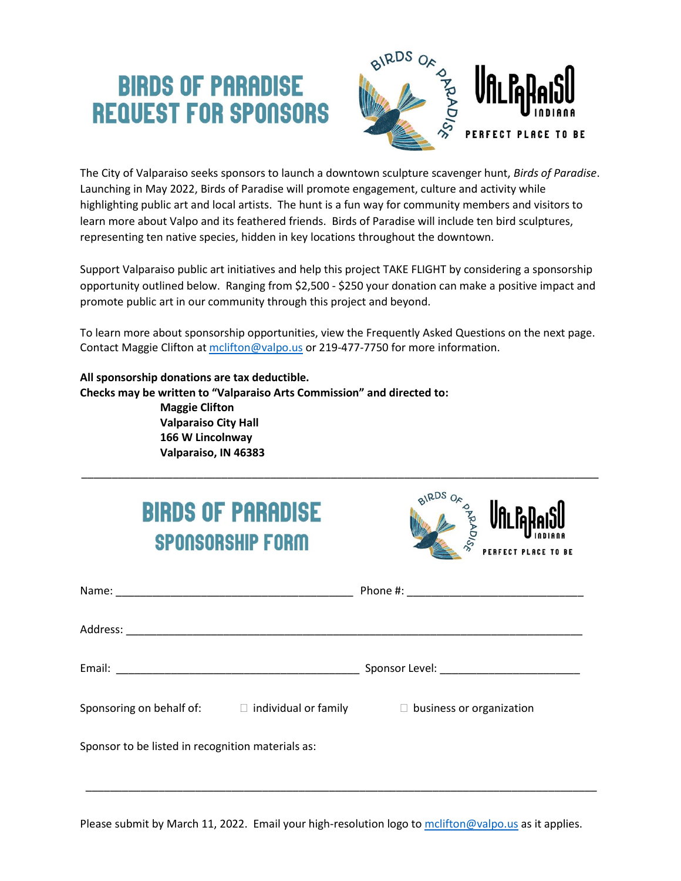## **BIRDS OF PARADISE REQUEST FOR SPONSORS**



The City of Valparaiso seeks sponsors to launch a downtown sculpture scavenger hunt, *Birds of Paradise*. Launching in May 2022, Birds of Paradise will promote engagement, culture and activity while highlighting public art and local artists. The hunt is a fun way for community members and visitors to learn more about Valpo and its feathered friends. Birds of Paradise will include ten bird sculptures, representing ten native species, hidden in key locations throughout the downtown.

Support Valparaiso public art initiatives and help this project TAKE FLIGHT by considering a sponsorship opportunity outlined below. Ranging from \$2,500 - \$250 your donation can make a positive impact and promote public art in our community through this project and beyond.

To learn more about sponsorship opportunities, view the Frequently Asked Questions on the next page. Contact Maggie Clifton at [mclifton@valpo.us](mailto:mclifton@valpo.us) or 219-477-7750 for more information.

\_\_\_\_\_\_\_\_\_\_\_\_\_\_\_\_\_\_\_\_\_\_\_\_\_\_\_\_\_\_\_\_\_\_\_\_\_\_\_\_\_\_\_\_\_\_\_\_\_\_\_\_\_\_\_\_\_\_\_\_\_\_\_\_\_\_\_\_\_\_\_\_\_\_\_\_\_\_\_\_\_\_\_\_\_

**All sponsorship donations are tax deductible. Checks may be written to "Valparaiso Arts Commission" and directed to: Maggie Clifton Valparaiso City Hall 166 W Lincolnway Valparaiso, IN 46383**

| <b>BIRDS OF PARADISE</b><br><b>SPONSORSHIP FORM</b>                                  | BIRDS<br><b>RAPADISE</b><br>Ufli Pape<br><b>PERFECT PLACE TO BE</b> |
|--------------------------------------------------------------------------------------|---------------------------------------------------------------------|
|                                                                                      |                                                                     |
|                                                                                      |                                                                     |
|                                                                                      |                                                                     |
| Sponsoring on behalf of: $\Box$ individual or family $\Box$ business or organization |                                                                     |
| Sponsor to be listed in recognition materials as:                                    |                                                                     |

Please submit by March 11, 2022. Email your high-resolution logo to molifton@valpo.us as it applies.

\_\_\_\_\_\_\_\_\_\_\_\_\_\_\_\_\_\_\_\_\_\_\_\_\_\_\_\_\_\_\_\_\_\_\_\_\_\_\_\_\_\_\_\_\_\_\_\_\_\_\_\_\_\_\_\_\_\_\_\_\_\_\_\_\_\_\_\_\_\_\_\_\_\_\_\_\_\_\_\_\_\_\_\_